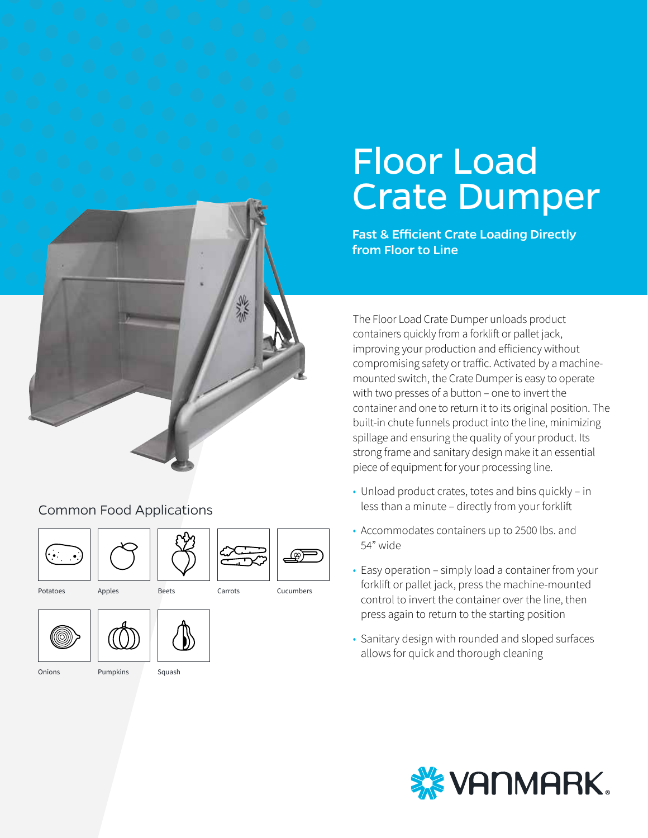## Common Food Applications







Carrots







Onions Pumpkins Squash



#### Potatoes Apples Beets Carrots Cucumbers

Floor Load Crate Dumper Fast & Efficient Crate Loading Directly from Floor to Line

The Floor Load Crate Dumper unloads product containers quickly from a forklift or pallet jack, improving your production and efficiency without compromising safety or traffic. Activated by a machinemounted switch, the Crate Dumper is easy to operate with two presses of a button – one to invert the container and one to return it to its original position. The built-in chute funnels product into the line, minimizing spillage and ensuring the quality of your product. Its strong frame and sanitary design make it an essential piece of equipment for your processing line.

- Unload product crates, totes and bins quickly in less than a minute – directly from your forklift
- Accommodates containers up to 2500 lbs. and 54" wide
- Easy operation simply load a container from your forklift or pallet jack, press the machine-mounted control to invert the container over the line, then press again to return to the starting position
- Sanitary design with rounded and sloped surfaces allows for quick and thorough cleaning